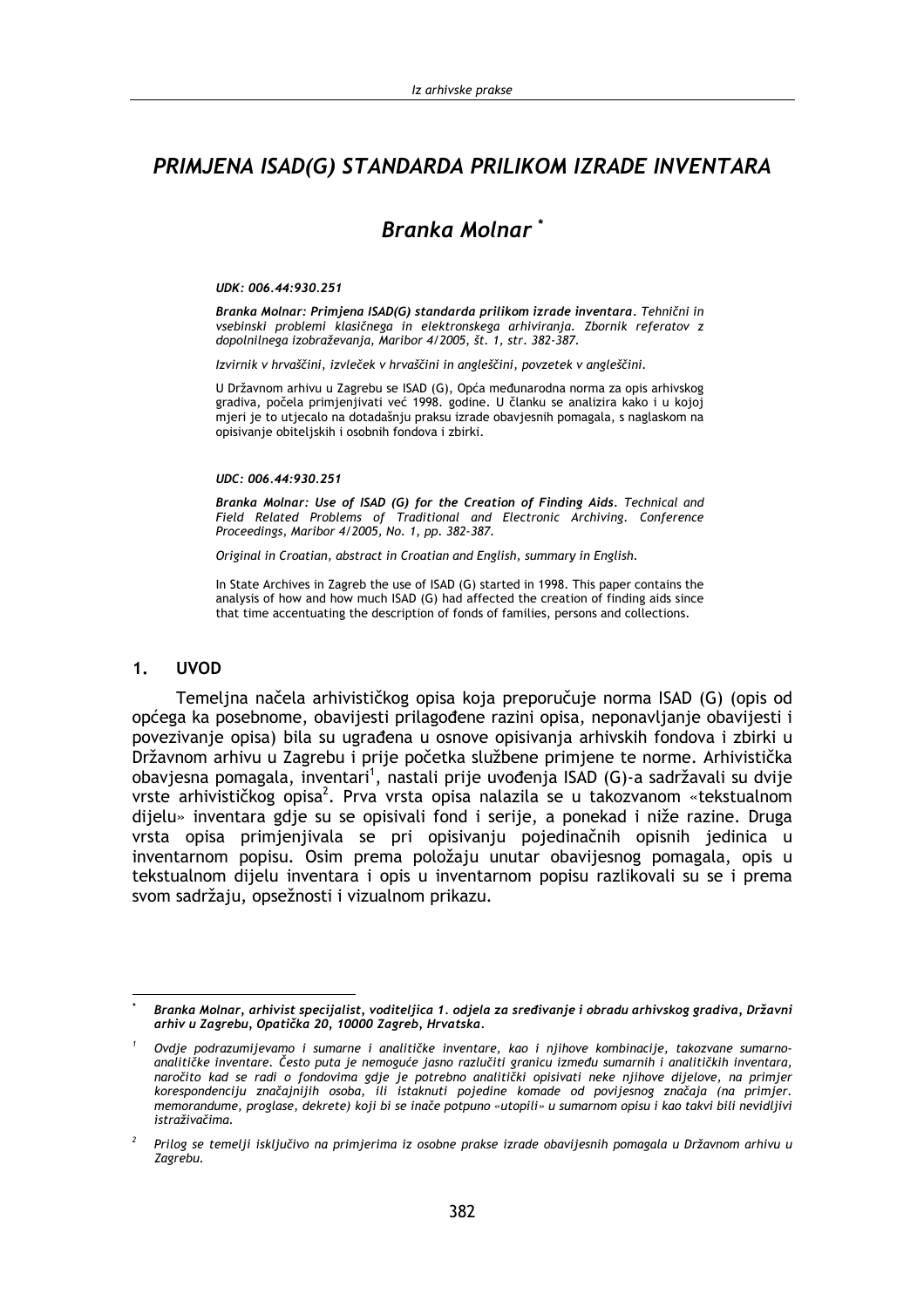## PRIMJENA ISAD(G) STANDARDA PRILIKOM IZRADE INVENTARA

# **Branka Molnar**\*

### UDK: 006.44:930.251

Branka Molnar: Primjena ISAD(G) standarda prilikom izrade inventara. Tehnični in vsebinski problemi klasičnega in elektronskega arhiviranja. Zbornik referatov z dopolnilnega izobraževania, Maribor 4/2005, št. 1, str. 382-387.

Izvirnik v hrvaščini, izvleček v hrvaščini in angleščini, povzetek v angleščini.

U Državnom arhivu u Zagrebu se ISAD (G), Opća međunarodna norma za opis arhivskog gradiva, počela primjenjivati već 1998. godine. U članku se analizira kako i u kojoj mjeri je to utjecalo na dotadašnju praksu izrade obavjesnih pomagala, s naglaskom na opisivanje obiteljskih i osobnih fondova i zbirki.

### UDC: 006.44:930.251

Branka Molnar: Use of ISAD (G) for the Creation of Finding Aids. Technical and Field Related Problems of Traditional and Electronic Archiving. Conference Proceedings, Maribor 4/2005, No. 1, pp. 382-387.

Original in Croatian, abstract in Croatian and English, summary in English.

In State Archives in Zagreb the use of ISAD (G) started in 1998. This paper contains the analysis of how and how much ISAD (G) had affected the creation of finding aids since that time accentuating the description of fonds of families, persons and collections.

#### **UVOD**  $1<sub>1</sub>$

Temeljna načela arhivističkog opisa koja preporučuje norma ISAD (G) (opis od općega ka posebnome, obavijesti prilagođene razini opisa, neponavljanje obavijesti i povezivanje opisa) bila su ugrađena u osnove opisivanja arhivskih fondova i zbirki u Državnom arhivu u Zagrebu i prije početka službene primiene te norme. Arhivistička obavjesna pomagala, inventari<sup>1</sup>, nastali prije uvođenja ISAD (G)-a sadržavali su dvije vrste arhivističkog opisa<sup>2</sup>. Prva vrsta opisa nalazila se u takozvanom «tekstualnom dijelu» inventara gdje su se opisivali fond i serije, a ponekad i niže razine. Druga vrsta opisa primjenjivala se pri opisivanju pojedinačnih opisnih jedinica u inventarnom popisu. Osim prema položaju unutar obavijesnog pomagala, opis u tekstualnom dijelu inventara i opis u inventarnom popisu razlikovali su se i prema svom sadržaju, opsežnosti i vizualnom prikazu.

Branka Molnar, arhivist specijalist, voditeljica 1. odjela za sređivanje i obradu arhivskog gradiva, Državni arhiv u Zagrebu, Opatička 20, 10000 Zagreb, Hrvatska.

Ovdje podrazumijevamo i sumarne i analitičke inventare, kao i njihove kombinacije, takozvane sumarnoanalitičke inventare. Često puta je nemoguće jasno razlučiti granicu između sumarnih i analitičkih inventara, naročito kad se radi o fondovima gdje je potrebno analitički opisivati neke njihove dijelove, na primjer korespondenciju značajnijih osoba, ili istaknuti pojedine komade od povijesnog značaja (na primjer. memorandume, proglase, dekrete) koji bi se inače potpuno «utopili» u sumarnom opisu i kao takvi bili nevidljivi istraživačima.

Prilog se temelji isključivo na primjerima iz osobne prakse izrade obavijesnih pomagala u Državnom arhivu u Zagrebu.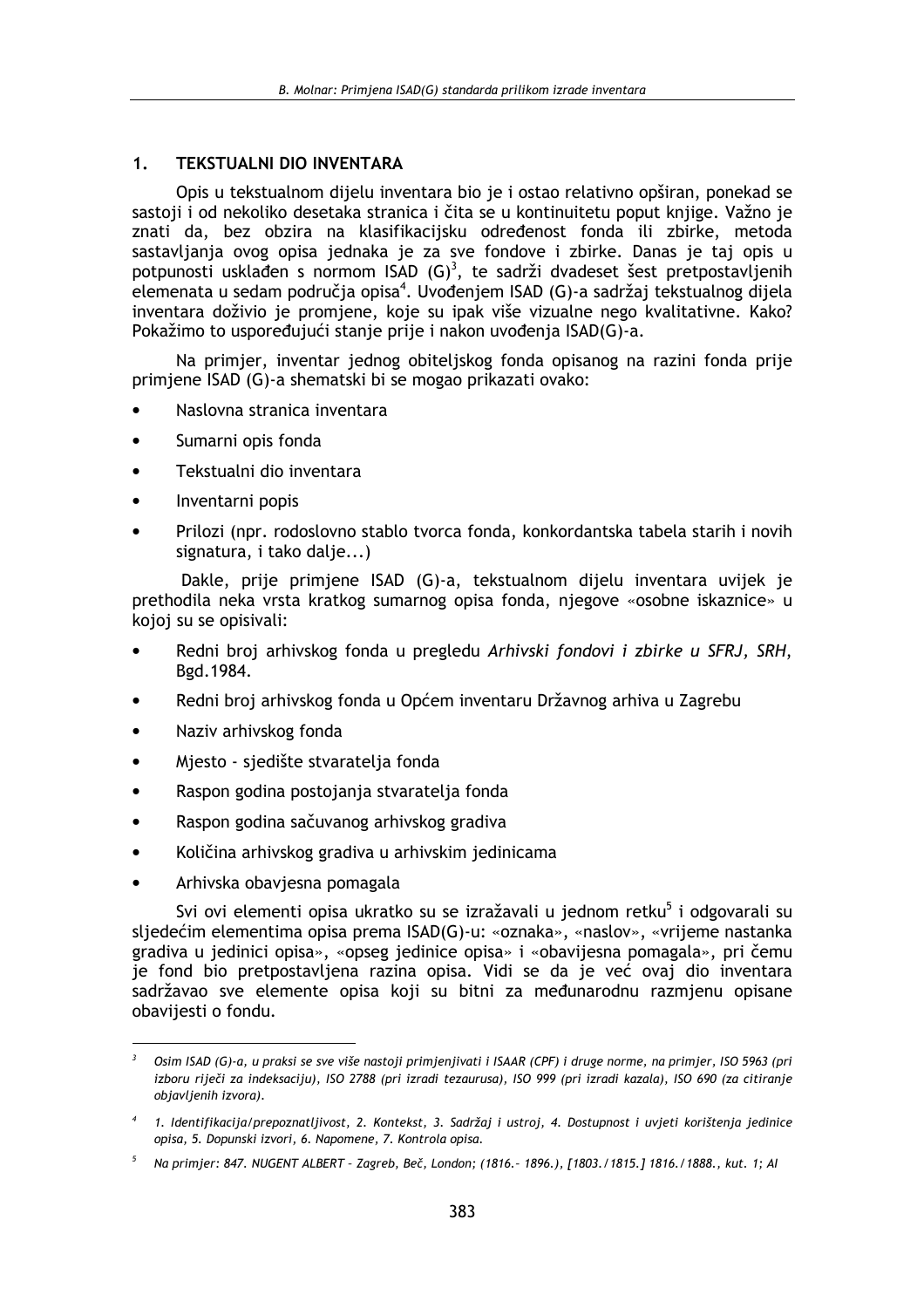#### **TEKSTUALNI DIO INVENTARA**  $1<sub>1</sub>$

Opis u tekstualnom dijelu inventara bio je i ostao relativno opširan, ponekad se sastoji i od nekoliko desetaka stranica i čita se u kontinuitetu poput knjige. Važno je znati da, bez obzira na klasifikacijsku određenost fonda ili zbirke, metoda sastavljanja ovog opisa jednaka je za sve fondove i zbirke. Danas je taj opis u potpunosti usklađen s normom ISAD  $(G)^3$ , te sadrži dvadeset šest pretpostavljenih elemenata u sedam područja opisa<sup>4</sup>. Uvođenjem ISAD (G)-a sadržaj tekstualnog dijela inventara doživio je promjene, koje su ipak više vizualne nego kvalitativne. Kako? Pokažimo to uspoređujući stanje prije i nakon uvođenja ISAD(G)-a.

Na primjer, inventar jednog obiteljskog fonda opisanog na razini fonda prije primjene ISAD (G)-a shematski bi se mogao prikazati ovako:

- Naslovna stranica inventara
- Sumarni opis fonda
- Tekstualni dio inventara
- Inventarni popis
- Prilozi (npr. rodoslovno stablo tvorca fonda, konkordantska tabela starih i novih signatura, i tako dalje...)

Dakle, prije primjene ISAD (G)-a, tekstualnom dijelu inventara uvijek je prethodila neka vrsta kratkog sumarnog opisa fonda, njegove «osobne iskaznice» u kojoj su se opisivali:

- Redni broj arhivskog fonda u pregledu Arhivski fondovi i zbirke u SFRJ, SRH, Bgd. 1984.
- Redni broj arhivskog fonda u Općem inventaru Državnog arhiva u Zagrebu
- Naziv arhivskog fonda
- Miesto siedište stvaratelja fonda  $\bullet$
- Raspon godina postojanja stvaratelja fonda  $\bullet$
- Raspon godina sačuvanog arhivskog gradiva
- Količina arhivskog gradiva u arhivskim jedinicama
- Arhivska obaviesna pomagala

Svi ovi elementi opisa ukratko su se izražavali u jednom retku<sup>5</sup> i odgovarali su sljedećim elementima opisa prema ISAD(G)-u: «oznaka», «naslov», «vrijeme nastanka gradiva u jedinici opisa», «opseg jedinice opisa» i «obavijesna pomagala», pri čemu je fond bio pretpostavljena razina opisa. Vidi se da je već ovaj dio inventara sadržavao sve elemente opisa koji su bitni za međunarodnu razmjenu opisane obavijesti o fondu.

Osim ISAD (G)-a, u praksi se sve više nastoji primjenjivati i ISAAR (CPF) i druge norme, na primjer, ISO 5963 (pri izboru riječi za indeksaciju), ISO 2788 (pri izradi tezaurusa), ISO 999 (pri izradi kazala), ISO 690 (za citiranje objavljenih izvora).

<sup>4 1.</sup> Identifikacija/prepoznatljivost, 2. Kontekst, 3. Sadržaj i ustroj, 4. Dostupnost i uvjeti korištenja jedinice opisa, 5. Dopunski izvori, 6. Napomene, 7. Kontrola opisa.

<sup>&</sup>lt;sup>5</sup> Na primjer: 847. NUGENT ALBERT - Zagreb, Beč, London; (1816.- 1896.), [1803./1815.] 1816./1888., kut. 1; Al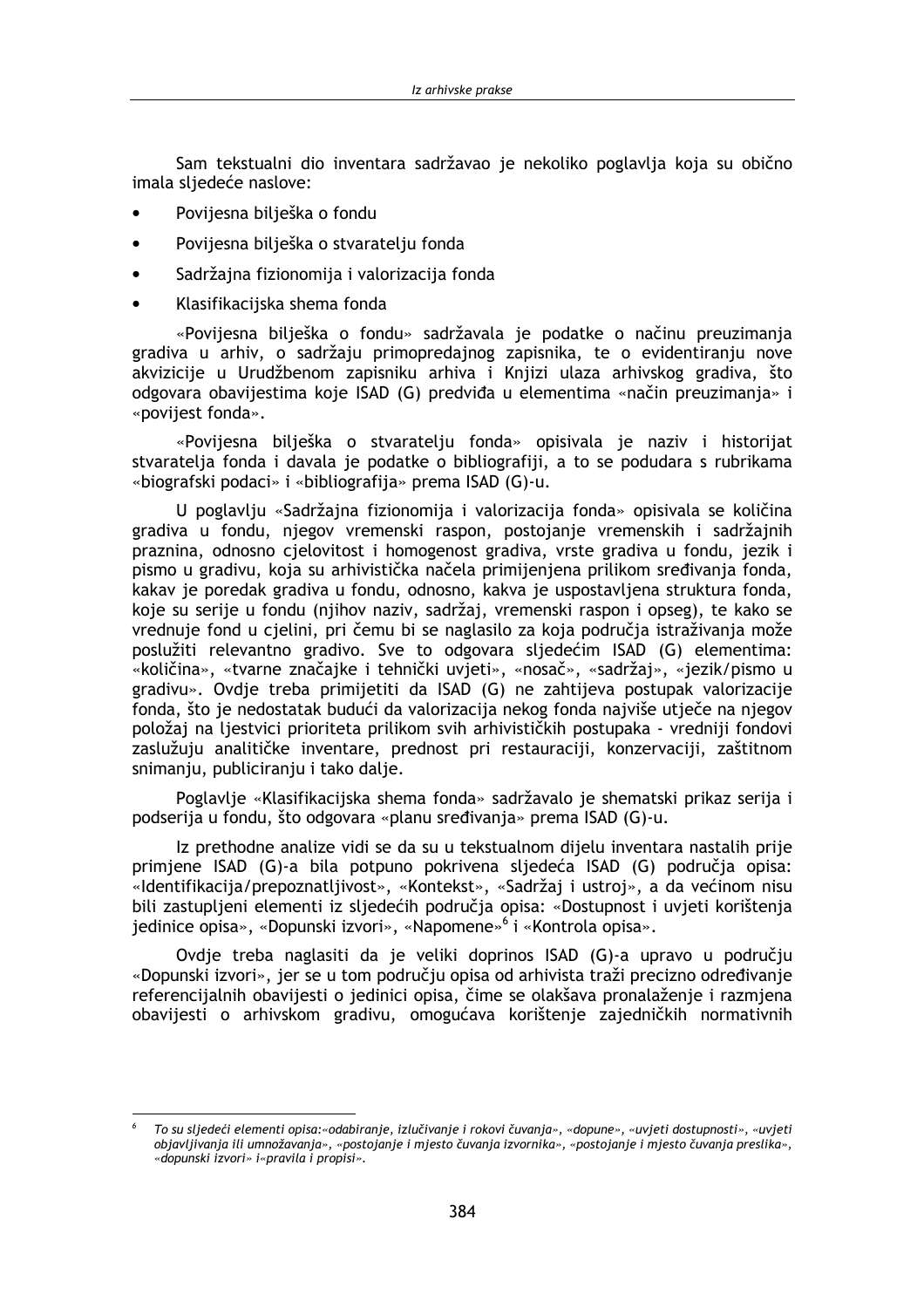Sam tekstualni dio inventara sadržavao je nekoliko poglavlja koja su obično imala sliedeće naslove:

- Povijesna bilješka o fondu
- $\bullet$ Povijesna bilješka o stvaratelju fonda
- Sadržaina fizionomija i valorizacija fonda  $\bullet$
- Klasifikacijska shema fonda

«Poviiesna bilješka o fondu» sadržavala je podatke o načinu preuzimanja gradiva u arhiv, o sadržaju primopredajnog zapisnika, te o evidentiranju nove akvizicije u Urudžbenom zapisniku arhiva i Knjizi ulaza arhivskog gradiva, što odgovara obavijestima koje ISAD (G) predviđa u elementima «način preuzimanja» i «povijest fonda».

«Povijesna bilješka o stvaratelju fonda» opisivala je naziv i historijat stvaratelia fonda i davala je podatke o bibliografiji, a to se podudara s rubrikama «biografski podaci» i «bibliografija» prema ISAD (G)-u.

U poglavlju «Sadržajna fizionomija i valorizacija fonda» opisivala se količina gradiva u fondu, njegov vremenski raspon, postojanje vremenskih i sadržajnih praznina, odnosno cjelovitost i homogenost gradiva, vrste gradiva u fondu, jezik i pismo u gradivu, koja su arhivistička načela primijenjena prilikom sređivanja fonda. kakav je poredak gradiva u fondu, odnosno, kakva je uspostavljena struktura fonda, koje su serije u fondu (njihov naziv, sadržaj, vremenski raspon i opseg), te kako se vrednuje fond u cjelini, pri čemu bi se naglasilo za koja područja istraživanja može poslužiti relevantno gradivo. Sve to odgovara sljedećim ISAD (G) elementima: «količina», «tvarne značajke i tehnički uvjeti», «nosač», «sadržaj», «jezik/pismo u gradivu». Ovdie treba primijetiti da ISAD (G) ne zahtijeva postupak valorizacije fonda, što je nedostatak budući da valorizacija nekog fonda najviše utječe na njegov položaj na ljestvici prioriteta prilikom svih arhivističkih postupaka - vredniji fondovi zaslužuju analitičke inventare, prednost pri restauraciji, konzervaciji, zaštitnom snimanju, publiciranju i tako dalje.

Poglavlje «Klasifikacijska shema fonda» sadržavalo je shematski prikaz serija i podserija u fondu, što odgovara «planu sređivanja» prema ISAD (G)-u.

Iz prethodne analize vidi se da su u tekstualnom dijelu inventara nastalih prije primiene ISAD (G)-a bila potpuno pokrivena sliedeća ISAD (G) područia opisa: «Identifikacija/prepoznatljivost», «Kontekst», «Sadržaj i ustroj», a da većinom nisu bili zastupljeni elementi iz sljedećih područja opisa: «Dostupnost i uvjeti korištenja jedinice opisa», «Dopunski izvori», «Napomene»<sup>6</sup> i «Kontrola opisa».

Ovdje treba naglasiti da je veliki doprinos ISAD (G)-a upravo u području «Dopunski izvori», jer se u tom području opisa od arhivista traži precizno određivanje referencijalnih obavijesti o jedinici opisa, čime se olakšava pronalaženje i razmjena obavijesti o arhivskom gradivu, omogućava korištenje zajedničkih normativnih

To su sljedeći elementi opisa:«odabiranje, izlučivanje i rokovi čuvanja», «dopune», «uvjeti dostupnosti», «uvjeti objavljivanja ili umnožavanja», «postojanje i mjesto čuvanja izvornika», «postojanje i mjesto čuvanja preslika», «dopunski izvori» i«pravila i propisi».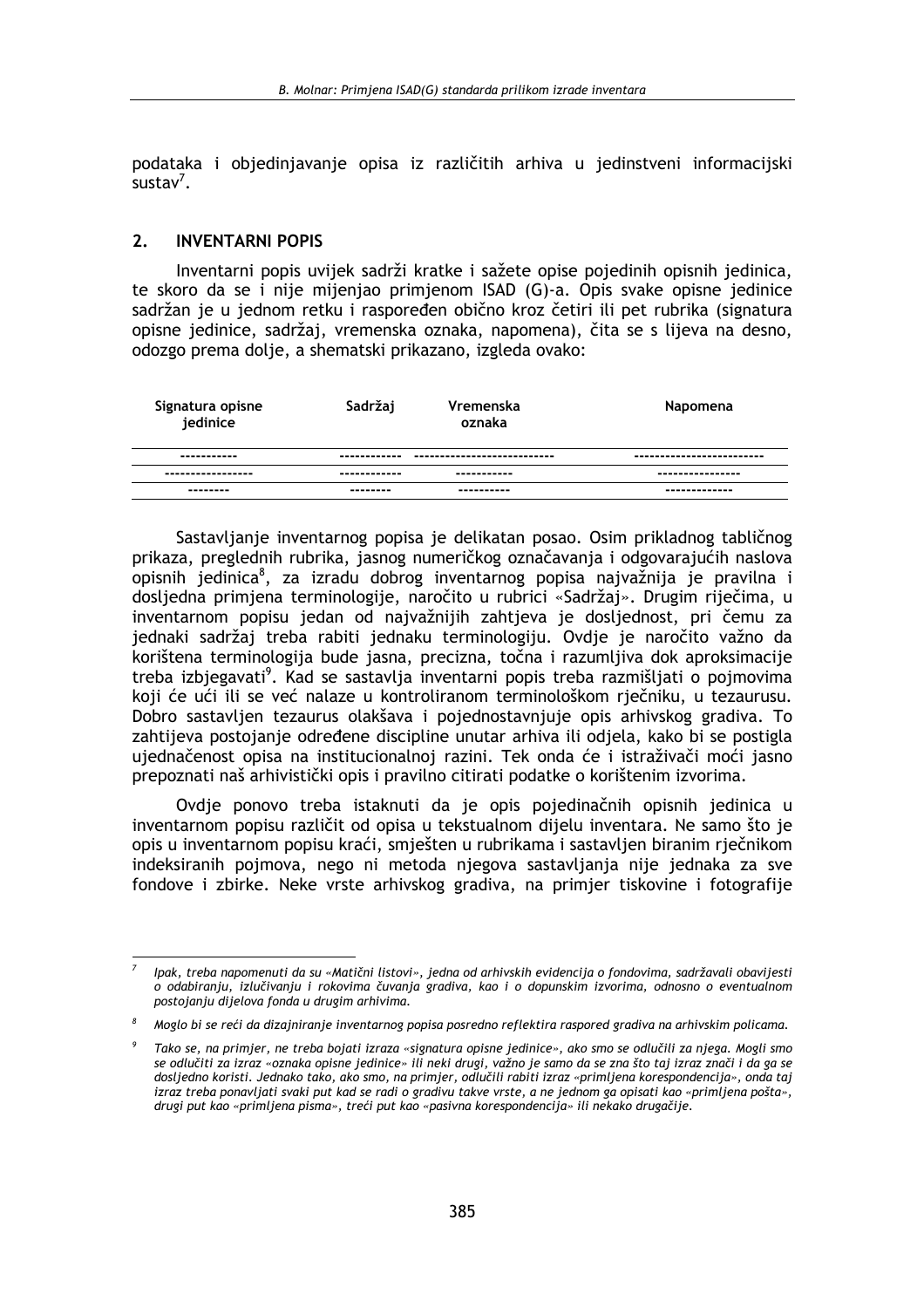podataka i objedinjavanje opisa iz različitih arhiva u jedinstveni informacijski  $\frac{1}{2}$ sustav<sup>7</sup>

#### **INVENTARNI POPIS**  $2<sup>1</sup>$

Inventarni popis uvijek sadrži kratke i sažete opise pojedinih opisnih jedinica, te skoro da se i nije mijenjao primjenom ISAD (G)-a. Opis svake opisne jedinice sadržan je u jednom retku i raspoređen obično kroz četiri ili pet rubrika (signatura opisne jedinice, sadržaj, vremenska oznaka, napomena), čita se s lijeva na desno, odozgo prema dolje, a shematski prikazano, izgleda ovako:

| Signatura opisne<br>jedinice | Sadržaj      | Vremenska<br>oznaka          | Napomena                  |
|------------------------------|--------------|------------------------------|---------------------------|
| -----------                  | ------------ | ---------------------------- | ------------------------- |
| -----------------            | ------------ | -----------                  | ----------------          |
| ---------                    | --------     | ----------                   | -------------             |

Sastavljanje inventarnog popisa je delikatan posao. Osim prikladnog tabličnog prikaza, preglednih rubrika, jasnog numeričkog označavanja i odgovarajućih naslova opisnih jedinica<sup>8</sup>, za izradu dobrog inventarnog popisa najvažnija je pravilna i dosliedna primiena terminologije, naročito u rubrici «Sadržaj». Drugim riječima, u inventarnom popisu jedan od najvažnijih zahtjeva je dosljednost, pri čemu za jednaki sadržaj treba rabiti jednaku terminologiju. Ovdje je naročito važno da korištena terminologija bude jasna, precizna, točna i razumljiva dok aproksimacije treba izbiegavati<sup>9</sup>. Kad se sastavlja inventarni popis treba razmišliati o pojmovima koji će ući ili se već nalaze u kontroliranom terminološkom riečniku, u tezaurusu. Dobro sastavljen tezaurus olakšava i pojednostavnjuje opis arhivskog gradiva. To zahtijeva postojanje određene discipline unutar arhiva ili odjela, kako bi se postigla ujednačenost opisa na institucionalnoj razini. Tek onda će i istraživači moći jasno prepoznati naš arhivistički opis i pravilno citirati podatke o korištenim izvorima.

Ovdje ponovo treba istaknuti da je opis pojedinačnih opisnih jedinica u inventarnom popisu različit od opisa u tekstualnom dijelu inventara. Ne samo što je opis u inventarnom popisu kraći, smješten u rubrikama i sastavljen biranim rječnikom indeksiranih pojmova, nego ni metoda njegova sastavljanja nije jednaka za sve fondove i zbirke. Neke vrste arhivskog gradiva, na primjer tiskovine i fotografije

Ipak, treba napomenuti da su «Matični listovi», jedna od arhivskih evidencija o fondovima, sadržavali obavijesti o odabiranju, izlučivanju i rokovima čuvanja gradiva, kao i o dopunskim izvorima, odnosno o eventualnom postojanju dijelova fonda u drugim arhivima.

Moglo bi se reći da dizajniranje inventarnog popisa posredno reflektira raspored gradiva na arhivskim policama.

Tako se, na primjer, ne treba bojati izraza «signatura opisne jedinice», ako smo se odlučili za njega. Mogli smo se odlučiti za izraz «oznaka opisne jedinice» ili neki drugi, važno je samo da se zna što taj izraz znači i da ga se dosljedno koristi. Jednako tako, ako smo, na primjer, odlučili rabiti izraz «primljena korespondencija», onda taj izraz treba ponavljati svaki put kad se radi o gradivu takve vrste, a ne jednom ga opisati kao «primljena pošta», drugi put kao «primljena pisma», treći put kao «pasivna korespondencija» ili nekako drugačije.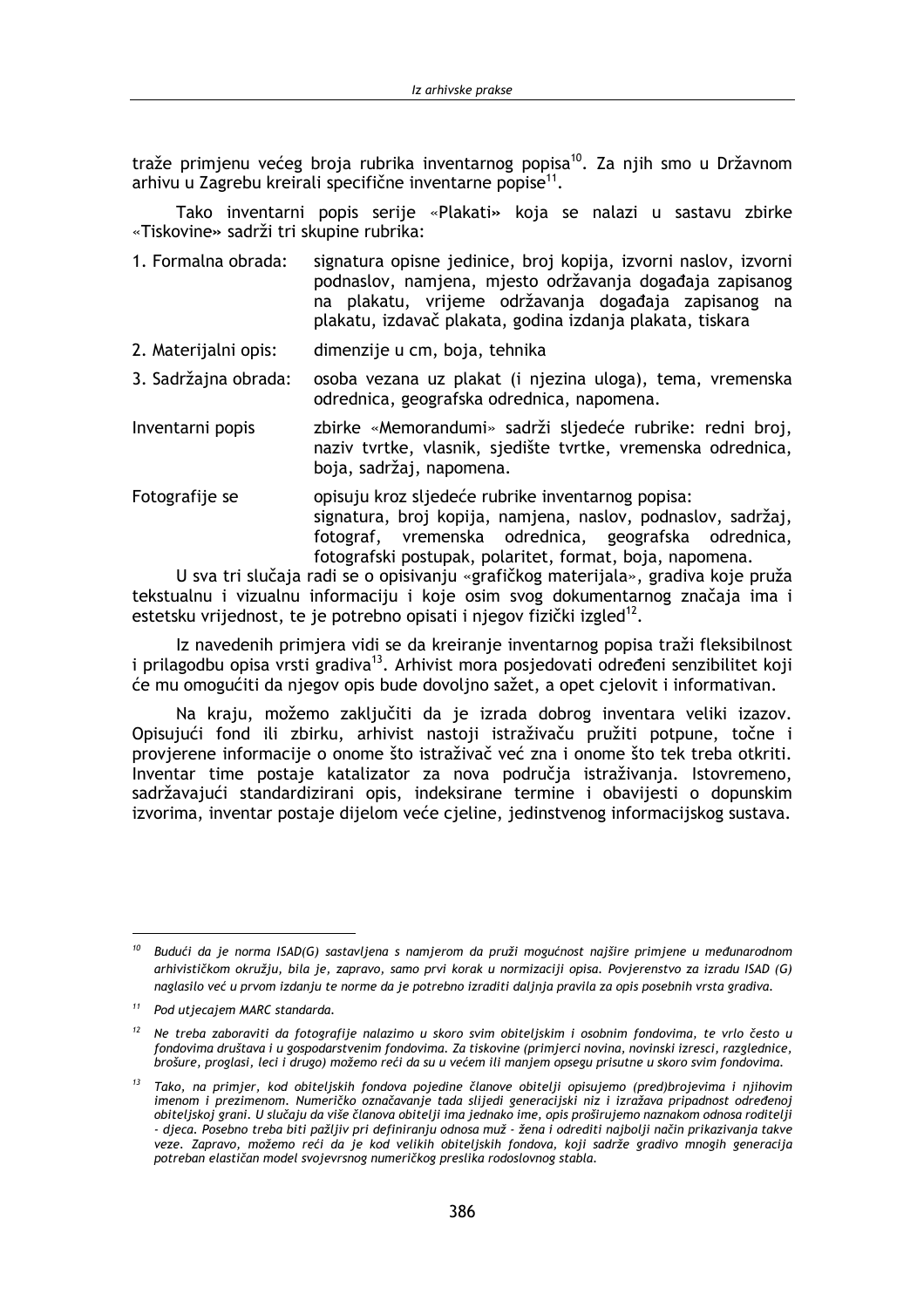traže primienu većeg broja rubrika inventarnog popisa<sup>10</sup>. Za nijh smo u Državnom arhivu u Zagrebu kreirali specifične inventarne popise<sup>11</sup>.

Tako inventarni popis serije «Plakati» koja se nalazi u sastavu zbirke «Tiskovine» sadrži tri skupine rubrika:

- signatura opisne jedinice, broj kopija, izvorni naslov, izvorni 1. Formalna obrada: podnaslov, namjena, mjesto održavanja događaja zapisanog na plakatu, vrijeme održavanja događaja zapisanog na plakatu, izdavač plakata, godina izdanja plakata, tiskara
- 2. Materijalni opis: dimenzije u cm, boja, tehnika
- 3. Sadržajna obrada: osoba vezana uz plakat (i njezina uloga), tema, vremenska odrednica, geografska odrednica, napomena.
- zbirke «Memorandumi» sadrži sljedeće rubrike: redni broj, Inventarni popis naziv tvrtke, vlasnik, sjedište tvrtke, vremenska odrednica, boja, sadržaj, napomena.
- Fotografije se opisuju kroz sljedeće rubrike inventarnog popisa: signatura, broj kopija, namjena, naslov, podnaslov, sadržaj, fotograf, vremenska odrednica, geografska odrednica. fotografski postupak, polaritet, format, boja, napomena.

U sva tri slučaja radi se o opisivanju «grafičkog materijala», gradiva koje pruža tekstualnu i vizualnu informaciju i koje osim svog dokumentarnog značaja ima i estetsku vrijednost, te je potrebno opisati i njegov fizički izgled<sup>12</sup>.

Iz navedenih primjera vidi se da kreiranje inventarnog popisa traži fleksibilnost i prilagodbu opisa vrsti gradiva<sup>13</sup>. Arhivist mora posjedovati određeni senzibilitet koji će mu omogućiti da njegov opis bude dovoljno sažet, a opet cjelovit i informativan.

Na kraju, možemo zaključiti da je izrada dobrog inventara veliki izazov. Opisujući fond ili zbirku, arhivist nastoji istraživaču pružiti potpune, točne i provjerene informacije o onome što istraživač već zna i onome što tek treba otkriti. Inventar time postaje katalizator za nova područja istraživanja. Istovremeno, sadržavajući standardizirani opis, indeksirane termine i obavijesti o dopunskim izvorima, inventar postaje dijelom veće cieline, jedinstvenog informacijskog sustava.

<sup>&</sup>lt;sup>10</sup> Budući da je norma ISAD(G) sastavljena s namjerom da pruži mogućnost najšire primjene u međunarodnom arhivističkom okružju, bila je, zapravo, samo prvi korak u normizaciji opisa. Povjerenstvo za izradu ISAD (G) naglasilo već u prvom izdanju te norme da je potrebno izraditi daljnja pravila za opis posebnih vrsta gradiva.

<sup>&</sup>lt;sup>11</sup> Pod utjecajem MARC standarda.

<sup>&</sup>lt;sup>12</sup> Ne treba zaboraviti da fotografije nalazimo u skoro svim obiteljskim i osobnim fondovima, te vrlo često u fondovima društava i u gospodarstvenim fondovima. Za tiskovine (primjerci novina, novinski izresci, razglednice. brošure, proglasi, leci i drugo) možemo reći da su u većem ili manjem opsegu prisutne u skoro svim fondovima.

<sup>&</sup>lt;sup>13</sup> Tako, na primjer, kod obiteljskih fondova pojedine članove obitelji opisujemo (pred)brojevima i njihovim imenom i prezimenom. Numeričko označavanje tada slijedi generacijski niz i izražava pripadnost određenoj obiteljskoj grani. U slučaju da više članova obitelji ima jednako ime, opis proširujemo naznakom odnosa roditelji - djeca. Posebno treba biti pažljiv pri definiranju odnosa muž - žena i odrediti najbolji način prikazivanja takve veze. Zapravo, možemo reći da je kod velikih obiteljskih fondova, koji sadrže gradivo mnogih generacija potreban elastičan model svojevrsnog numeričkog preslika rodoslovnog stabla.